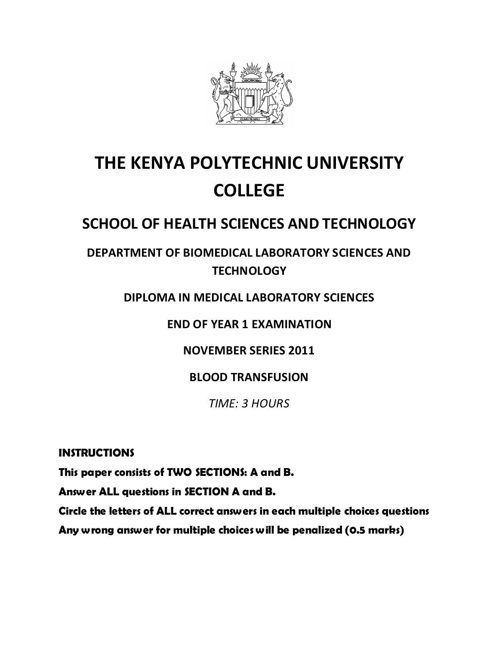

# **THE KENYA POLYTECHNIC UNIVERSITY COLLEGE**

## **SCHOOL OF HEALTH SCIENCES AND TECHNOLOGY**

### **DEPARTMENT OF BIOMEDICAL LABORATORY SCIENCES AND TECHNOLOGY**

### **DIPLOMA IN MEDICAL LABORATORY SCIENCES**

**END OF YEAR 1 EXAMINATION**

**NOVEMBER SERIES 2011**

**BLOOD TRANSFUSION**

*TIME: 3 HOURS*

**INSTRUCTIONS** 

**This paper consists of TWO SECTIONS: A and B.** 

**Answer ALL questions in SECTION A and B.**

**Circle the letters of ALL correct answers in each multiple choices questions** 

**Any wrong answer for multiple choices will be penalized (0.5 marks)**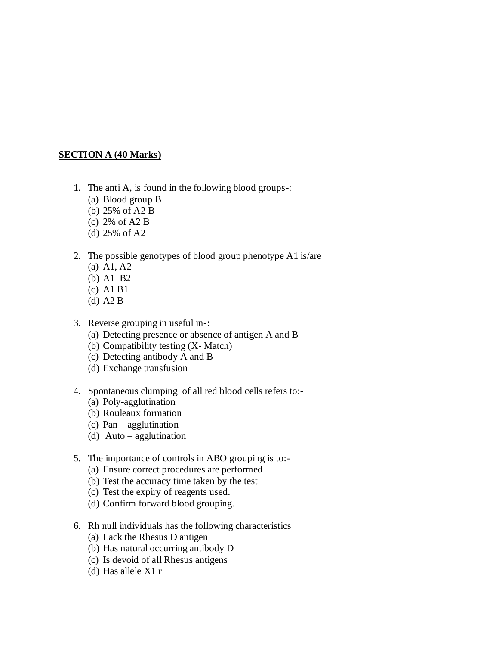#### **SECTION A (40 Marks)**

- 1. The anti A, is found in the following blood groups-:
	- (a) Blood group B
	- (b) 25% of A2 B
	- (c) 2% of A2 B
	- (d) 25% of A2
- 2. The possible genotypes of blood group phenotype A1 is/are
	- (a) A1, A2
	- (b) A1 B2
	- (c) A1 B1
	- (d) A2 B
- 3. Reverse grouping in useful in-:
	- (a) Detecting presence or absence of antigen A and B
	- (b) Compatibility testing (X- Match)
	- (c) Detecting antibody A and B
	- (d) Exchange transfusion
- 4. Spontaneous clumping of all red blood cells refers to:-
	- (a) Poly-agglutination
	- (b) Rouleaux formation
	- (c) Pan agglutination
	- (d) Auto agglutination
- 5. The importance of controls in ABO grouping is to:-
	- (a) Ensure correct procedures are performed
	- (b) Test the accuracy time taken by the test
	- (c) Test the expiry of reagents used.
	- (d) Confirm forward blood grouping.
- 6. Rh null individuals has the following characteristics
	- (a) Lack the Rhesus D antigen
	- (b) Has natural occurring antibody D
	- (c) Is devoid of all Rhesus antigens
	- (d) Has allele X1 r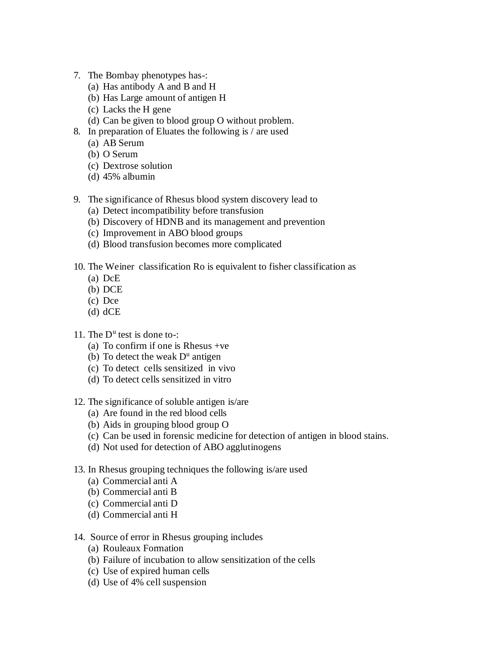- 7. The Bombay phenotypes has-:
	- (a) Has antibody A and B and H
	- (b) Has Large amount of antigen H
	- (c) Lacks the H gene
	- (d) Can be given to blood group O without problem.
- 8. In preparation of Eluates the following is / are used
	- (a) AB Serum
	- (b) O Serum
	- (c) Dextrose solution
	- (d) 45% albumin
- 9. The significance of Rhesus blood system discovery lead to
	- (a) Detect incompatibility before transfusion
	- (b) Discovery of HDNB and its management and prevention
	- (c) Improvement in ABO blood groups
	- (d) Blood transfusion becomes more complicated
- 10. The Weiner classification Ro is equivalent to fisher classification as
	- (a) DcE
	- (b) DCE
	- (c) Dce
	- (d) dCE
- 11. The D<sup>u</sup> test is done to-:
	- (a) To confirm if one is Rhesus +ve
	- (b) To detect the weak  $D^u$  antigen
	- (c) To detect cells sensitized in vivo
	- (d) To detect cells sensitized in vitro
- 12. The significance of soluble antigen is/are
	- (a) Are found in the red blood cells
	- (b) Aids in grouping blood group O
	- (c) Can be used in forensic medicine for detection of antigen in blood stains.
	- (d) Not used for detection of ABO agglutinogens
- 13. In Rhesus grouping techniques the following is/are used
	- (a) Commercial anti A
	- (b) Commercial anti B
	- (c) Commercial anti D
	- (d) Commercial anti H
- 14. Source of error in Rhesus grouping includes
	- (a) Rouleaux Formation
	- (b) Failure of incubation to allow sensitization of the cells
	- (c) Use of expired human cells
	- (d) Use of 4% cell suspension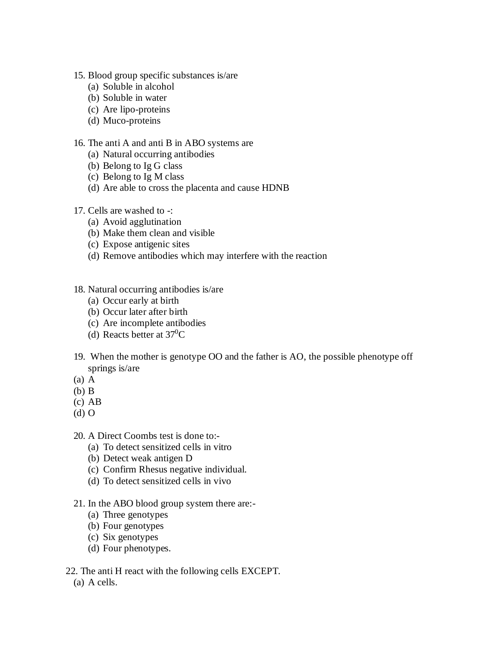- 15. Blood group specific substances is/are
	- (a) Soluble in alcohol
	- (b) Soluble in water
	- (c) Are lipo-proteins
	- (d) Muco-proteins

#### 16. The anti A and anti B in ABO systems are

- (a) Natural occurring antibodies
- (b) Belong to Ig G class
- (c) Belong to Ig M class
- (d) Are able to cross the placenta and cause HDNB
- 17. Cells are washed to -:
	- (a) Avoid agglutination
	- (b) Make them clean and visible
	- (c) Expose antigenic sites
	- (d) Remove antibodies which may interfere with the reaction
- 18. Natural occurring antibodies is/are
	- (a) Occur early at birth
	- (b) Occur later after birth
	- (c) Are incomplete antibodies
	- (d) Reacts better at 37<sup>0</sup>C
- 19. When the mother is genotype OO and the father is AO, the possible phenotype off springs is/are
- (a) A
- (b) B
- (c) AB
- (d) O

20. A Direct Coombs test is done to:-

- (a) To detect sensitized cells in vitro
- (b) Detect weak antigen D
- (c) Confirm Rhesus negative individual.
- (d) To detect sensitized cells in vivo
- 21. In the ABO blood group system there are:-
	- (a) Three genotypes
	- (b) Four genotypes
	- (c) Six genotypes
	- (d) Four phenotypes.
- 22. The anti H react with the following cells EXCEPT.
	- (a) A cells.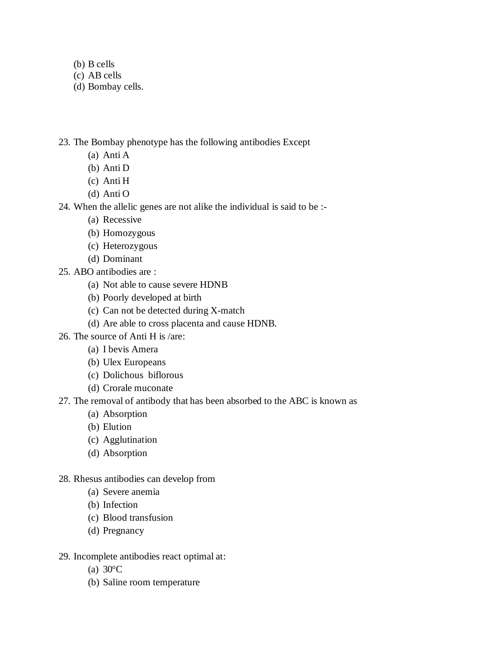- (b) B cells
- (c) AB cells
- (d) Bombay cells.

23. The Bombay phenotype has the following antibodies Except

- (a) Anti A
- (b) Anti D
- (c) Anti H
- (d) Anti O

24. When the allelic genes are not alike the individual is said to be :-

- (a) Recessive
- (b) Homozygous
- (c) Heterozygous
- (d) Dominant
- 25. ABO antibodies are :
	- (a) Not able to cause severe HDNB
	- (b) Poorly developed at birth
	- (c) Can not be detected during X-match
	- (d) Are able to cross placenta and cause HDNB.
- 26. The source of Anti H is /are:
	- (a) I bevis Amera
	- (b) Ulex Europeans
	- (c) Dolichous biflorous
	- (d) Crorale muconate
- 27. The removal of antibody that has been absorbed to the ABC is known as
	- (a) Absorption
	- (b) Elution
	- (c) Agglutination
	- (d) Absorption
- 28. Rhesus antibodies can develop from
	- (a) Severe anemia
	- (b) Infection
	- (c) Blood transfusion
	- (d) Pregnancy
- 29. Incomplete antibodies react optimal at:
	- (a)  $30^{\circ}$ C
	- (b) Saline room temperature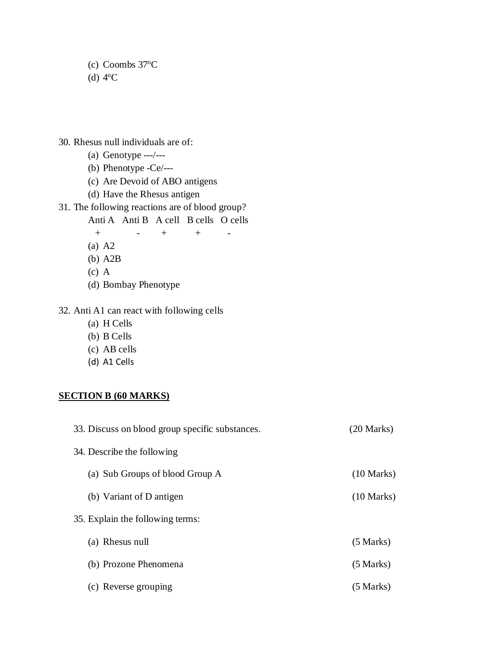(c) Coombs  $37^{\circ}$ C  $(d)$  4<sup>o</sup>C

- 30. Rhesus null individuals are of:
	- (a) Genotype ---/---
	- (b) Phenotype -Ce/---
	- (c) Are Devoid of ABO antigens
	- (d) Have the Rhesus antigen

#### 31. The following reactions are of blood group?

Anti A Anti B A cell B cells O cells

 $+$  -  $+$  +  $-$ 

- (a) A2
- (b) A2B
- (c) A
- (d) Bombay Phenotype

#### 32. Anti A1 can react with following cells

- (a) H Cells
- (b) B Cells
- (c) AB cells
- (d) A1 Cells

#### **SECTION B (60 MARKS)**

| 33. Discuss on blood group specific substances. | $(20$ Marks)         |
|-------------------------------------------------|----------------------|
| 34. Describe the following                      |                      |
| (a) Sub Groups of blood Group A                 | $(10 \text{ Marks})$ |
| (b) Variant of D antigen                        | $(10 \text{ Marks})$ |
| 35. Explain the following terms:                |                      |
| (a) Rhesus null                                 | $(5$ Marks)          |
| (b) Prozone Phenomena                           | $(5$ Marks)          |
| Reverse grouping                                | (5 Marks)            |